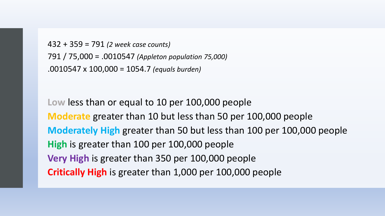```
432 + 359 = 791 (2 week case counts)
791 / 75,000 = .0010547 (Appleton population 75,000)
.0010547 x 100,000 = 1054.7 (equals burden)
```
**Low** less than or equal to 10 per 100,000 people **Moderate** greater than 10 but less than 50 per 100,000 people **Moderately High** greater than 50 but less than 100 per 100,000 people **High** is greater than 100 per 100,000 people **Very High** is greater than 350 per 100,000 people **Critically High** is greater than 1,000 per 100,000 people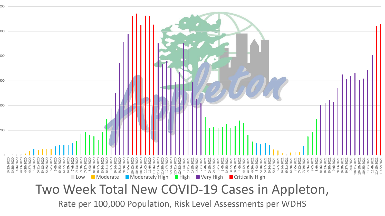

Rate per 100,000 Population, Risk Level Assessments per WDHS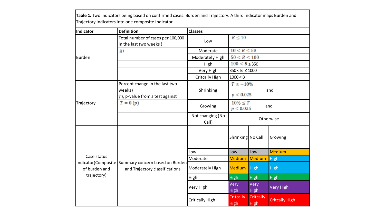**Table 1.** Two indicators being based on confirmed cases: Burden and Trajectory. A third indicator maps Burden and Trajectory indicators into one composite indicator.

| <b>Indicator</b>                            | <b>Definition</b>                                                                     | <b>Classes</b>            |                                   |                                 |                       |
|---------------------------------------------|---------------------------------------------------------------------------------------|---------------------------|-----------------------------------|---------------------------------|-----------------------|
| <b>Burden</b>                               | Total number of cases per 100,000<br>in the last two weeks (                          | Low                       | $B \leq 10$                       |                                 |                       |
|                                             | $\boldsymbol{B}$                                                                      | Moderate                  | $10 < B \le 50$                   |                                 |                       |
|                                             |                                                                                       | Moderately High           | $50 < B \le 100$                  |                                 |                       |
|                                             |                                                                                       | High                      | $100 < B \leq 350$                |                                 |                       |
|                                             |                                                                                       | Very High                 | $350 < B \le 1000$                |                                 |                       |
|                                             |                                                                                       | <b>Critcally High</b>     | 1000 < B                          |                                 |                       |
| Trajectory                                  | Percent change in the last two<br>weeks (<br>$T$ ), p-value from a test against       | Shrinking                 | $T \le -10\%$<br>and<br>p < 0.025 |                                 |                       |
|                                             | $T=0(p)$                                                                              | Growing                   | $10\% \leq T$<br>and<br>p < 0.025 |                                 |                       |
|                                             |                                                                                       | Not changing (No<br>Call) | Otherwise                         |                                 |                       |
| Case status<br>of burden and<br>trajectory) | indicator(Composite Summary concern based on Burden<br>and Trajectory classifications |                           | Shrinking No Call                 |                                 | Growing               |
|                                             |                                                                                       | Low                       | Low                               | Low                             | <b>Medium</b>         |
|                                             |                                                                                       | Moderate                  | <b>Medium</b>                     | Medium                          | <b>High</b>           |
|                                             |                                                                                       | Moderately High           | Medium                            | <b>High</b>                     | <b>High</b>           |
|                                             |                                                                                       | High                      | <b>High</b>                       | <b>High</b>                     | <b>High</b>           |
|                                             |                                                                                       | Very High                 | Very<br><b>High</b>               | Very<br><b>High</b>             | <b>Very High</b>      |
|                                             |                                                                                       | <b>Critically High</b>    | Critcally<br><b>High</b>          | <b>Critcally</b><br><b>High</b> | <b>Critcally High</b> |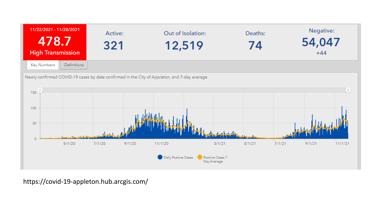

https://covid-19-appleton.hub.arcgis.com/